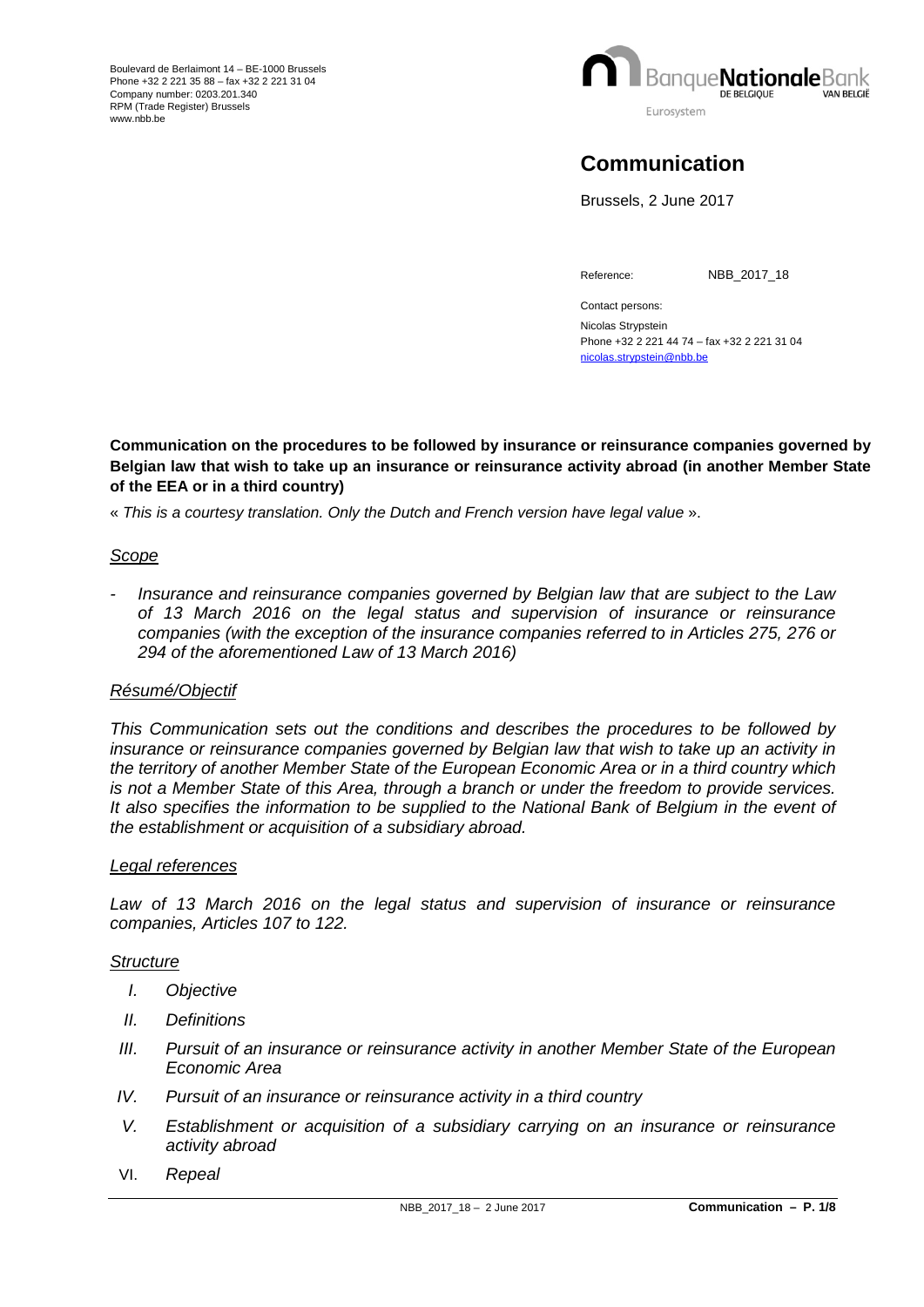

# **Communication**

Brussels, 2 June 2017

Reference: NBB\_2017\_18

Contact persons: Nicolas Strypstein Phone +32 2 221 44 74 – fax +32 2 221 31 04 [nicolas.strypstein@nbb.be](mailto:nicolas.strypstein@nbb.be)

**Communication on the procedures to be followed by insurance or reinsurance companies governed by Belgian law that wish to take up an insurance or reinsurance activity abroad (in another Member State of the EEA or in a third country)**

« *This is a courtesy translation. Only the Dutch and French version have legal value* ».

# *Scope*

*- Insurance and reinsurance companies governed by Belgian law that are subject to the Law of 13 March 2016 on the legal status and supervision of insurance or reinsurance companies (with the exception of the insurance companies referred to in Articles 275, 276 or 294 of the aforementioned Law of 13 March 2016)* 

## *Résumé/Objectif*

*This Communication sets out the conditions and describes the procedures to be followed by insurance or reinsurance companies governed by Belgian law that wish to take up an activity in the territory of another Member State of the European Economic Area or in a third country which is not a Member State of this Area, through a branch or under the freedom to provide services.*  It also specifies the information to be supplied to the National Bank of Belgium in the event of *the establishment or acquisition of a subsidiary abroad.*

## *Legal references*

Law of 13 March 2016 on the legal status and supervision of insurance or reinsurance *companies, Articles 107 to 122.*

## *Structure*

- *I. Objective*
- *II. Definitions*
- *III.* Pursuit of an insurance or reinsurance activity in another Member State of the European *Economic Area*
- *IV. Pursuit of an insurance or reinsurance activity in a third country*
- *V. Establishment or acquisition of a subsidiary carrying on an insurance or reinsurance activity abroad*
- VI. *Repeal*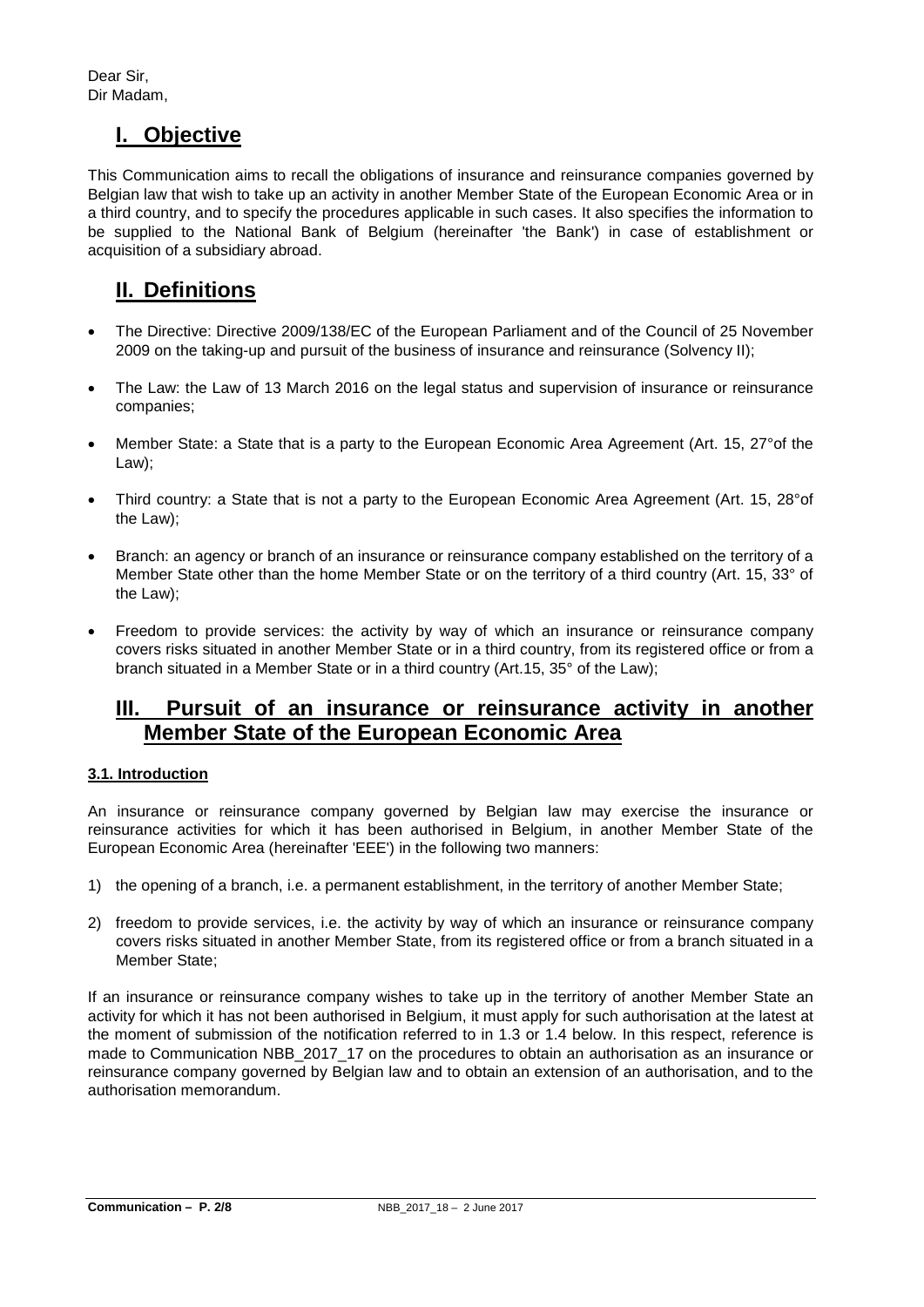Dear Sir, Dir Madam,

# **I. Objective**

This Communication aims to recall the obligations of insurance and reinsurance companies governed by Belgian law that wish to take up an activity in another Member State of the European Economic Area or in a third country, and to specify the procedures applicable in such cases. It also specifies the information to be supplied to the National Bank of Belgium (hereinafter 'the Bank') in case of establishment or acquisition of a subsidiary abroad.

# **II. Definitions**

- The Directive: Directive 2009/138/EC of the European Parliament and of the Council of 25 November 2009 on the taking-up and pursuit of the business of insurance and reinsurance (Solvency II);
- The Law: the Law of 13 March 2016 on the legal status and supervision of insurance or reinsurance companies;
- Member State: a State that is a party to the European Economic Area Agreement (Art. 15, 27°of the Law);
- Third country: a State that is not a party to the European Economic Area Agreement (Art. 15, 28°of the Law);
- Branch: an agency or branch of an insurance or reinsurance company established on the territory of a Member State other than the home Member State or on the territory of a third country (Art. 15, 33° of the Law);
- Freedom to provide services: the activity by way of which an insurance or reinsurance company covers risks situated in another Member State or in a third country, from its registered office or from a branch situated in a Member State or in a third country (Art.15, 35° of the Law);

# **III. Pursuit of an insurance or reinsurance activity in another Member State of the European Economic Area**

# **3.1. Introduction**

An insurance or reinsurance company governed by Belgian law may exercise the insurance or reinsurance activities for which it has been authorised in Belgium, in another Member State of the European Economic Area (hereinafter 'EEE') in the following two manners:

- 1) the opening of a branch, i.e. a permanent establishment, in the territory of another Member State;
- 2) freedom to provide services, i.e. the activity by way of which an insurance or reinsurance company covers risks situated in another Member State, from its registered office or from a branch situated in a Member State;

If an insurance or reinsurance company wishes to take up in the territory of another Member State an activity for which it has not been authorised in Belgium, it must apply for such authorisation at the latest at the moment of submission of the notification referred to in 1.3 or 1.4 below. In this respect, reference is made to Communication NBB\_2017\_17 on the procedures to obtain an authorisation as an insurance or reinsurance company governed by Belgian law and to obtain an extension of an authorisation, and to the authorisation memorandum.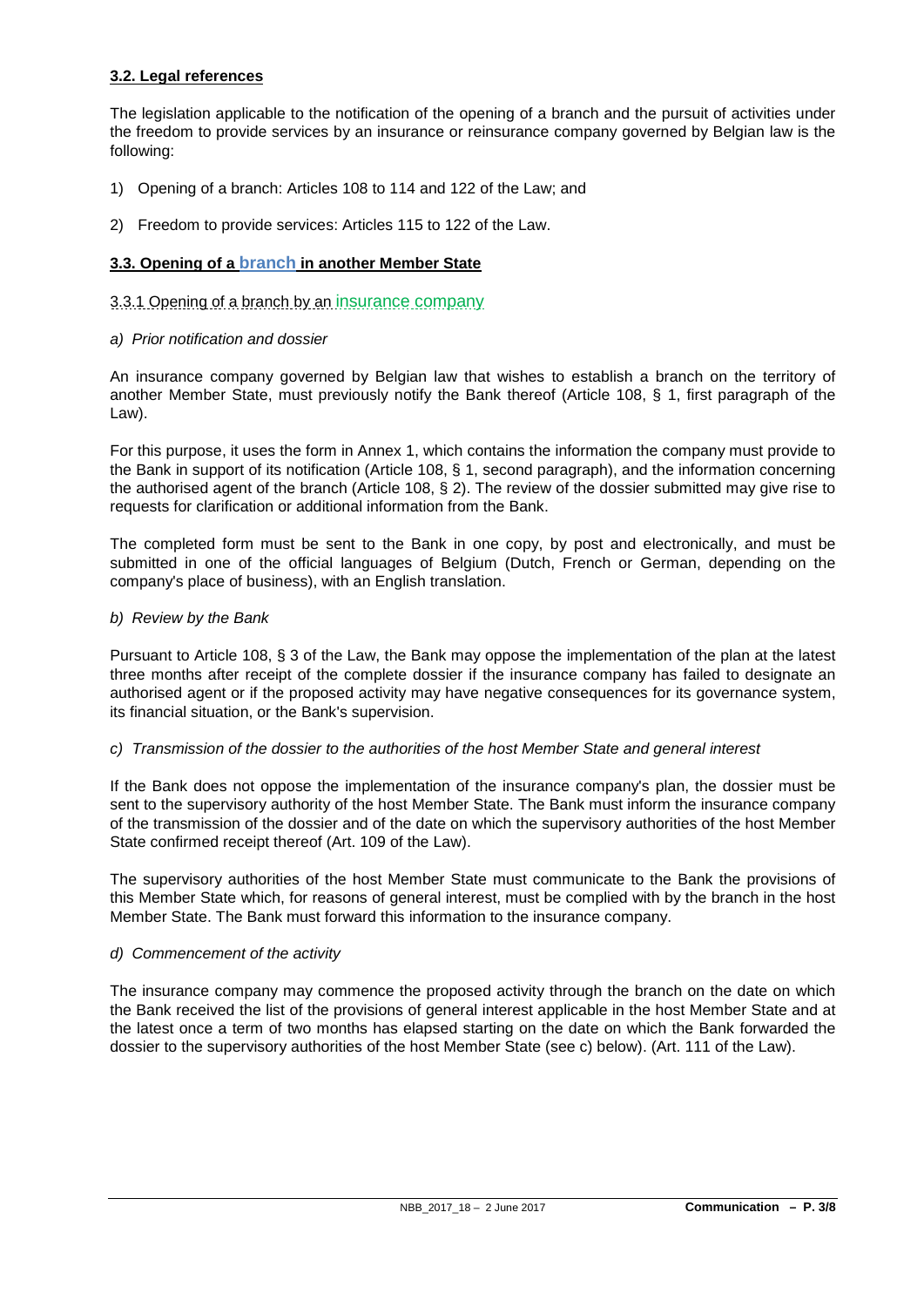## **3.2. Legal references**

The legislation applicable to the notification of the opening of a branch and the pursuit of activities under the freedom to provide services by an insurance or reinsurance company governed by Belgian law is the following:

- 1) Opening of a branch: Articles 108 to 114 and 122 of the Law; and
- 2) Freedom to provide services: Articles 115 to 122 of the Law.

## **3.3. Opening of a branch in another Member State**

## 3.3.1 Opening of a branch by an insurance company

*a) Prior notification and dossier*

An insurance company governed by Belgian law that wishes to establish a branch on the territory of another Member State, must previously notify the Bank thereof (Article 108, § 1, first paragraph of the Law).

For this purpose, it uses the form in Annex 1, which contains the information the company must provide to the Bank in support of its notification (Article 108, § 1, second paragraph), and the information concerning the authorised agent of the branch (Article 108, § 2). The review of the dossier submitted may give rise to requests for clarification or additional information from the Bank.

The completed form must be sent to the Bank in one copy, by post and electronically, and must be submitted in one of the official languages of Belgium (Dutch, French or German, depending on the company's place of business), with an English translation.

### *b) Review by the Bank*

Pursuant to Article 108, § 3 of the Law, the Bank may oppose the implementation of the plan at the latest three months after receipt of the complete dossier if the insurance company has failed to designate an authorised agent or if the proposed activity may have negative consequences for its governance system, its financial situation, or the Bank's supervision.

## *c) Transmission of the dossier to the authorities of the host Member State and general interest*

If the Bank does not oppose the implementation of the insurance company's plan, the dossier must be sent to the supervisory authority of the host Member State. The Bank must inform the insurance company of the transmission of the dossier and of the date on which the supervisory authorities of the host Member State confirmed receipt thereof (Art. 109 of the Law).

The supervisory authorities of the host Member State must communicate to the Bank the provisions of this Member State which, for reasons of general interest, must be complied with by the branch in the host Member State. The Bank must forward this information to the insurance company.

## *d) Commencement of the activity*

The insurance company may commence the proposed activity through the branch on the date on which the Bank received the list of the provisions of general interest applicable in the host Member State and at the latest once a term of two months has elapsed starting on the date on which the Bank forwarded the dossier to the supervisory authorities of the host Member State (see c) below). (Art. 111 of the Law).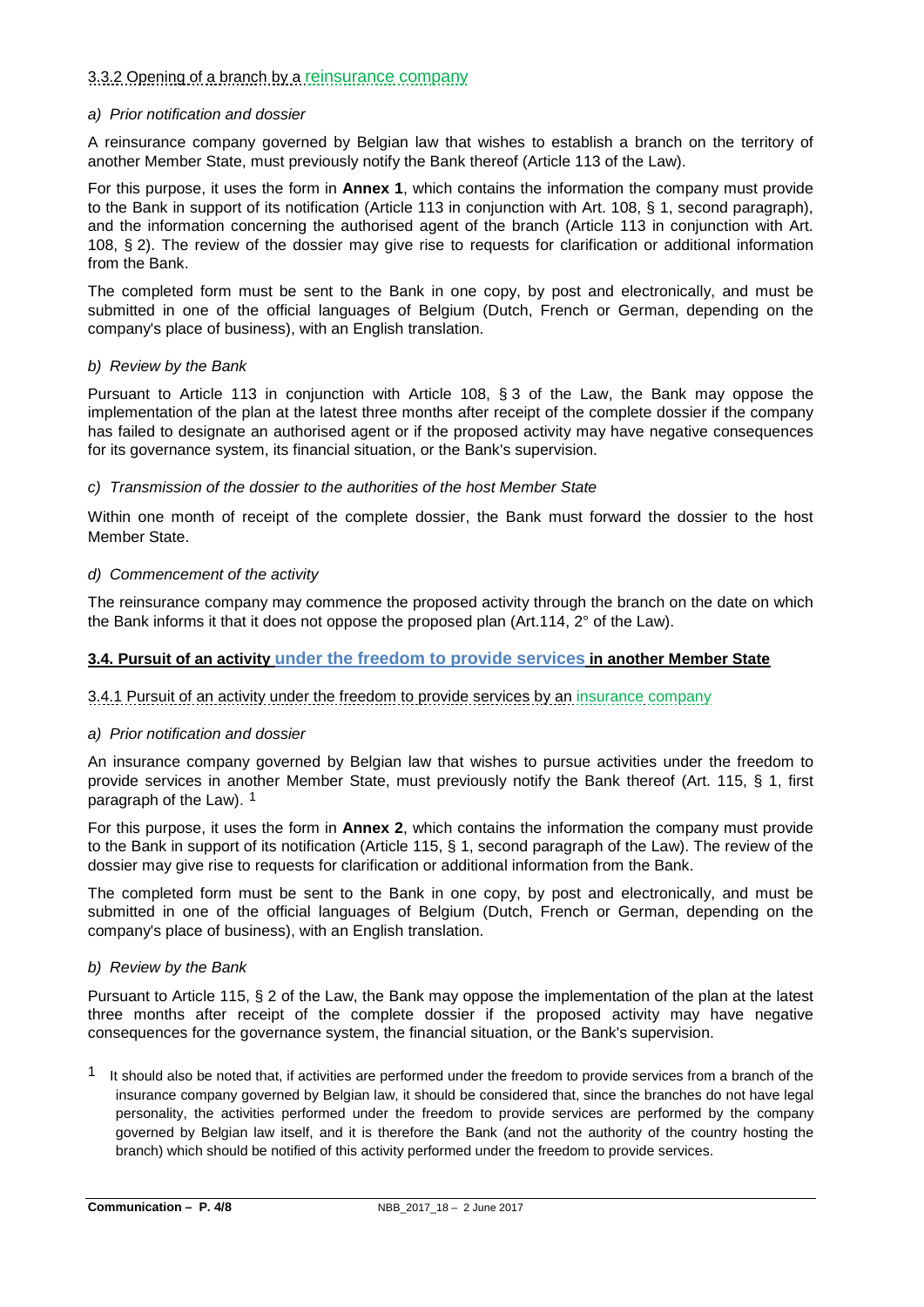# 3.3.2 Opening of a branch by a reinsurance company

### *a) Prior notification and dossier*

A reinsurance company governed by Belgian law that wishes to establish a branch on the territory of another Member State, must previously notify the Bank thereof (Article 113 of the Law).

For this purpose, it uses the form in **Annex 1**, which contains the information the company must provide to the Bank in support of its notification (Article 113 in conjunction with Art. 108, § 1, second paragraph), and the information concerning the authorised agent of the branch (Article 113 in conjunction with Art. 108, § 2). The review of the dossier may give rise to requests for clarification or additional information from the Bank.

The completed form must be sent to the Bank in one copy, by post and electronically, and must be submitted in one of the official languages of Belgium (Dutch, French or German, depending on the company's place of business), with an English translation.

### *b) Review by the Bank*

Pursuant to Article 113 in conjunction with Article 108, § 3 of the Law, the Bank may oppose the implementation of the plan at the latest three months after receipt of the complete dossier if the company has failed to designate an authorised agent or if the proposed activity may have negative consequences for its governance system, its financial situation, or the Bank's supervision.

### *c) Transmission of the dossier to the authorities of the host Member State*

Within one month of receipt of the complete dossier, the Bank must forward the dossier to the host Member State.

### *d) Commencement of the activity*

The reinsurance company may commence the proposed activity through the branch on the date on which the Bank informs it that it does not oppose the proposed plan (Art.114, 2° of the Law).

## **3.4. Pursuit of an activity under the freedom to provide services in another Member State**

## 3.4.1 Pursuit of an activity under the freedom to provide services by an insurance company

#### *a) Prior notification and dossier*

An insurance company governed by Belgian law that wishes to pursue activities under the freedom to provide services in another Member State, must previously notify the Bank thereof (Art. 115, § 1, first paragraph of the Law). [1](#page-3-0)

For this purpose, it uses the form in **Annex 2**, which contains the information the company must provide to the Bank in support of its notification (Article 115, § 1, second paragraph of the Law). The review of the dossier may give rise to requests for clarification or additional information from the Bank.

The completed form must be sent to the Bank in one copy, by post and electronically, and must be submitted in one of the official languages of Belgium (Dutch, French or German, depending on the company's place of business), with an English translation.

#### *b) Review by the Bank*

Pursuant to Article 115, § 2 of the Law, the Bank may oppose the implementation of the plan at the latest three months after receipt of the complete dossier if the proposed activity may have negative consequences for the governance system, the financial situation, or the Bank's supervision.

<span id="page-3-0"></span> $1$  It should also be noted that, if activities are performed under the freedom to provide services from a branch of the insurance company governed by Belgian law, it should be considered that, since the branches do not have legal personality, the activities performed under the freedom to provide services are performed by the company governed by Belgian law itself, and it is therefore the Bank (and not the authority of the country hosting the branch) which should be notified of this activity performed under the freedom to provide services.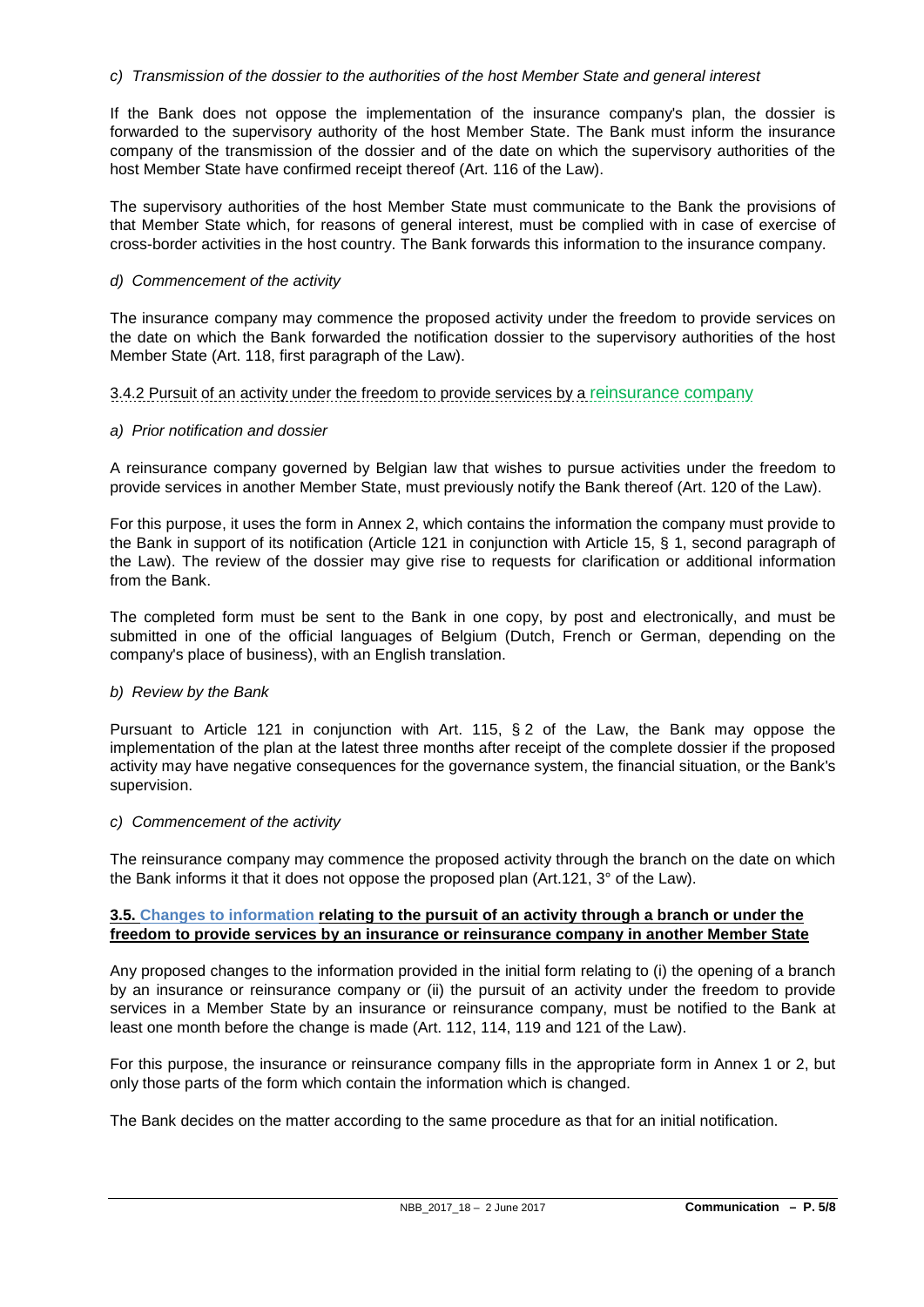## *c) Transmission of the dossier to the authorities of the host Member State and general interest*

If the Bank does not oppose the implementation of the insurance company's plan, the dossier is forwarded to the supervisory authority of the host Member State. The Bank must inform the insurance company of the transmission of the dossier and of the date on which the supervisory authorities of the host Member State have confirmed receipt thereof (Art. 116 of the Law).

The supervisory authorities of the host Member State must communicate to the Bank the provisions of that Member State which, for reasons of general interest, must be complied with in case of exercise of cross-border activities in the host country. The Bank forwards this information to the insurance company.

### *d) Commencement of the activity*

The insurance company may commence the proposed activity under the freedom to provide services on the date on which the Bank forwarded the notification dossier to the supervisory authorities of the host Member State (Art. 118, first paragraph of the Law).

### 3.4.2 Pursuit of an activity under the freedom to provide services by a reinsurance company

### *a) Prior notification and dossier*

A reinsurance company governed by Belgian law that wishes to pursue activities under the freedom to provide services in another Member State, must previously notify the Bank thereof (Art. 120 of the Law).

For this purpose, it uses the form in Annex 2, which contains the information the company must provide to the Bank in support of its notification (Article 121 in conjunction with Article 15, § 1, second paragraph of the Law). The review of the dossier may give rise to requests for clarification or additional information from the Bank.

The completed form must be sent to the Bank in one copy, by post and electronically, and must be submitted in one of the official languages of Belgium (Dutch, French or German, depending on the company's place of business), with an English translation.

## *b) Review by the Bank*

Pursuant to Article 121 in conjunction with Art. 115, § 2 of the Law, the Bank may oppose the implementation of the plan at the latest three months after receipt of the complete dossier if the proposed activity may have negative consequences for the governance system, the financial situation, or the Bank's supervision.

#### *c) Commencement of the activity*

The reinsurance company may commence the proposed activity through the branch on the date on which the Bank informs it that it does not oppose the proposed plan (Art.121, 3° of the Law).

### **3.5. Changes to information relating to the pursuit of an activity through a branch or under the freedom to provide services by an insurance or reinsurance company in another Member State**

Any proposed changes to the information provided in the initial form relating to (i) the opening of a branch by an insurance or reinsurance company or (ii) the pursuit of an activity under the freedom to provide services in a Member State by an insurance or reinsurance company, must be notified to the Bank at least one month before the change is made (Art. 112, 114, 119 and 121 of the Law).

For this purpose, the insurance or reinsurance company fills in the appropriate form in Annex 1 or 2, but only those parts of the form which contain the information which is changed.

The Bank decides on the matter according to the same procedure as that for an initial notification.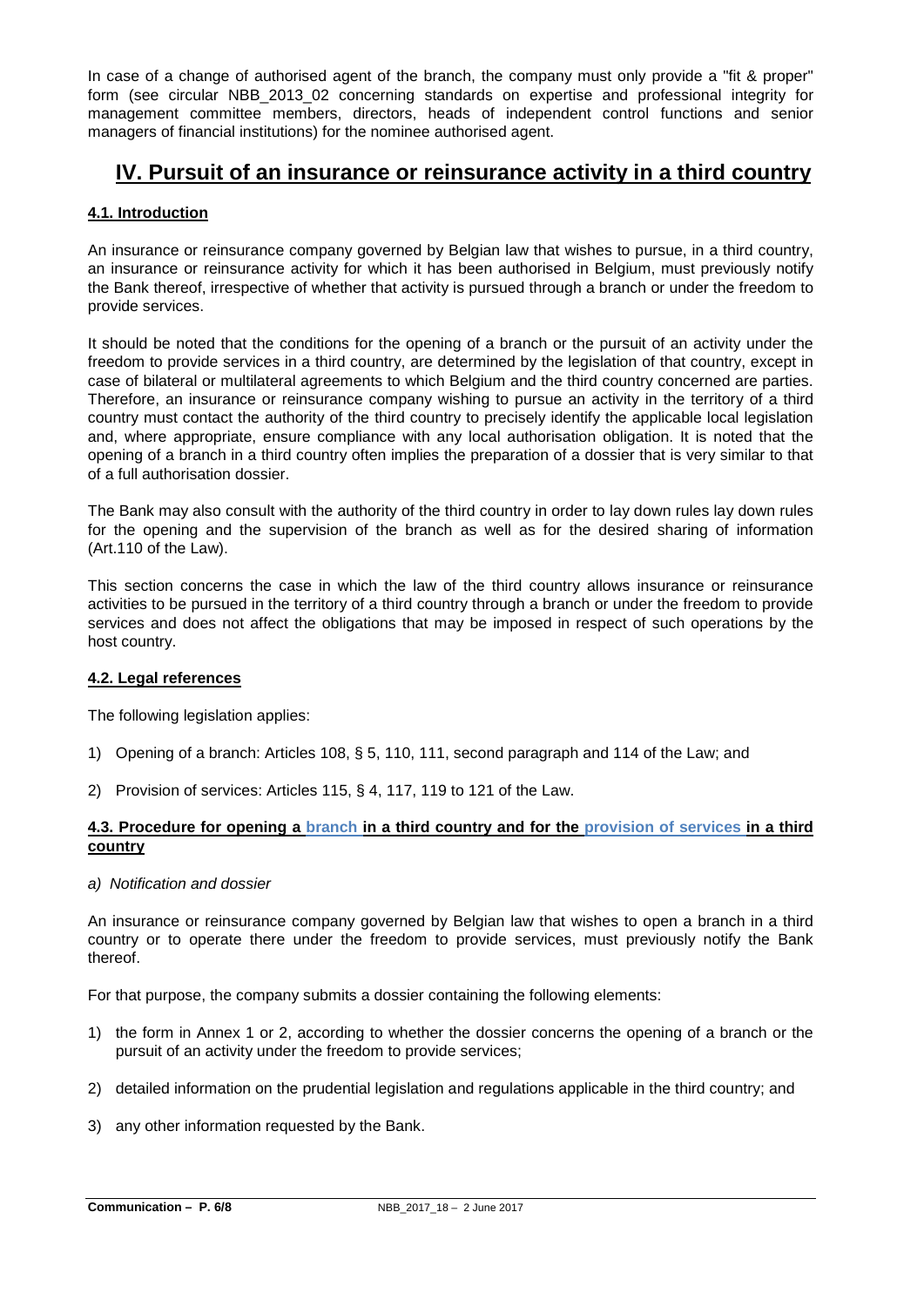In case of a change of authorised agent of the branch, the company must only provide a "fit & proper" form (see circular NBB\_2013\_02 concerning standards on expertise and professional integrity for management committee members, directors, heads of independent control functions and senior managers of financial institutions) for the nominee authorised agent.

# **IV. Pursuit of an insurance or reinsurance activity in a third country**

# **4.1. Introduction**

An insurance or reinsurance company governed by Belgian law that wishes to pursue, in a third country, an insurance or reinsurance activity for which it has been authorised in Belgium, must previously notify the Bank thereof, irrespective of whether that activity is pursued through a branch or under the freedom to provide services.

It should be noted that the conditions for the opening of a branch or the pursuit of an activity under the freedom to provide services in a third country, are determined by the legislation of that country, except in case of bilateral or multilateral agreements to which Belgium and the third country concerned are parties. Therefore, an insurance or reinsurance company wishing to pursue an activity in the territory of a third country must contact the authority of the third country to precisely identify the applicable local legislation and, where appropriate, ensure compliance with any local authorisation obligation. It is noted that the opening of a branch in a third country often implies the preparation of a dossier that is very similar to that of a full authorisation dossier.

The Bank may also consult with the authority of the third country in order to lay down rules lay down rules for the opening and the supervision of the branch as well as for the desired sharing of information (Art.110 of the Law).

This section concerns the case in which the law of the third country allows insurance or reinsurance activities to be pursued in the territory of a third country through a branch or under the freedom to provide services and does not affect the obligations that may be imposed in respect of such operations by the host country.

## **4.2. Legal references**

The following legislation applies:

- 1) Opening of a branch: Articles 108, § 5, 110, 111, second paragraph and 114 of the Law; and
- 2) Provision of services: Articles 115, § 4, 117, 119 to 121 of the Law.

## **4.3. Procedure for opening a branch in a third country and for the provision of services in a third country**

*a) Notification and dossier*

An insurance or reinsurance company governed by Belgian law that wishes to open a branch in a third country or to operate there under the freedom to provide services, must previously notify the Bank thereof.

For that purpose, the company submits a dossier containing the following elements:

- 1) the form in Annex 1 or 2, according to whether the dossier concerns the opening of a branch or the pursuit of an activity under the freedom to provide services;
- 2) detailed information on the prudential legislation and regulations applicable in the third country; and
- 3) any other information requested by the Bank.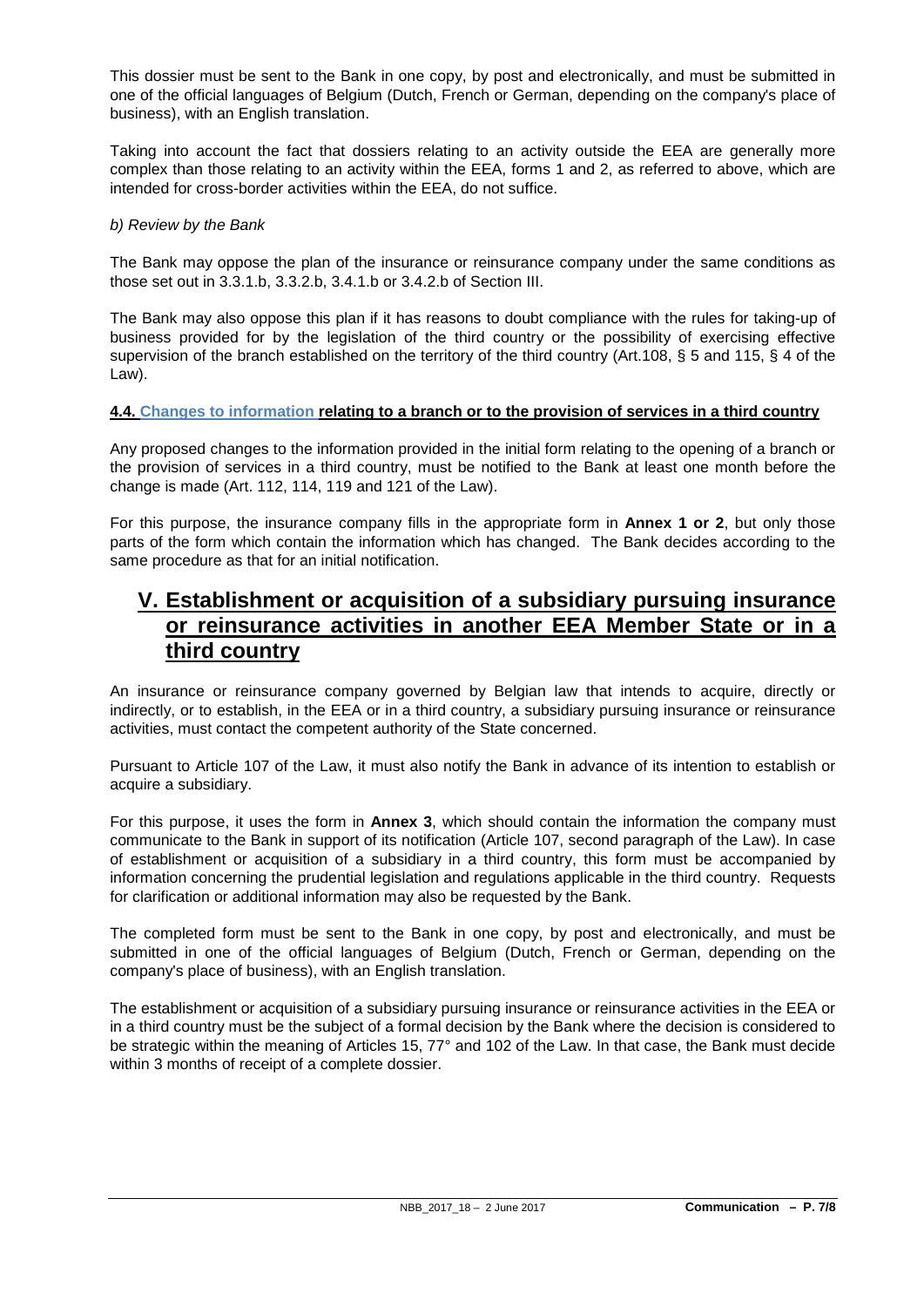This dossier must be sent to the Bank in one copy, by post and electronically, and must be submitted in one of the official languages of Belgium (Dutch, French or German, depending on the company's place of business), with an English translation.

Taking into account the fact that dossiers relating to an activity outside the EEA are generally more complex than those relating to an activity within the EEA, forms 1 and 2, as referred to above, which are intended for cross-border activities within the EEA, do not suffice.

## *b) Review by the Bank*

The Bank may oppose the plan of the insurance or reinsurance company under the same conditions as those set out in 3.3.1.b, 3.3.2.b, 3.4.1.b or 3.4.2.b of Section III.

The Bank may also oppose this plan if it has reasons to doubt compliance with the rules for taking-up of business provided for by the legislation of the third country or the possibility of exercising effective supervision of the branch established on the territory of the third country (Art.108, § 5 and 115, § 4 of the Law).

## **4.4. Changes to information relating to a branch or to the provision of services in a third country**

Any proposed changes to the information provided in the initial form relating to the opening of a branch or the provision of services in a third country, must be notified to the Bank at least one month before the change is made (Art. 112, 114, 119 and 121 of the Law).

For this purpose, the insurance company fills in the appropriate form in **Annex 1 or 2**, but only those parts of the form which contain the information which has changed. The Bank decides according to the same procedure as that for an initial notification.

# **V. Establishment or acquisition of a subsidiary pursuing insurance or reinsurance activities in another EEA Member State or in a third country**

An insurance or reinsurance company governed by Belgian law that intends to acquire, directly or indirectly, or to establish, in the EEA or in a third country, a subsidiary pursuing insurance or reinsurance activities, must contact the competent authority of the State concerned.

Pursuant to Article 107 of the Law, it must also notify the Bank in advance of its intention to establish or acquire a subsidiary.

For this purpose, it uses the form in **Annex 3**, which should contain the information the company must communicate to the Bank in support of its notification (Article 107, second paragraph of the Law). In case of establishment or acquisition of a subsidiary in a third country, this form must be accompanied by information concerning the prudential legislation and regulations applicable in the third country. Requests for clarification or additional information may also be requested by the Bank.

The completed form must be sent to the Bank in one copy, by post and electronically, and must be submitted in one of the official languages of Belgium (Dutch, French or German, depending on the company's place of business), with an English translation.

The establishment or acquisition of a subsidiary pursuing insurance or reinsurance activities in the EEA or in a third country must be the subject of a formal decision by the Bank where the decision is considered to be strategic within the meaning of Articles 15, 77° and 102 of the Law. In that case, the Bank must decide within 3 months of receipt of a complete dossier.